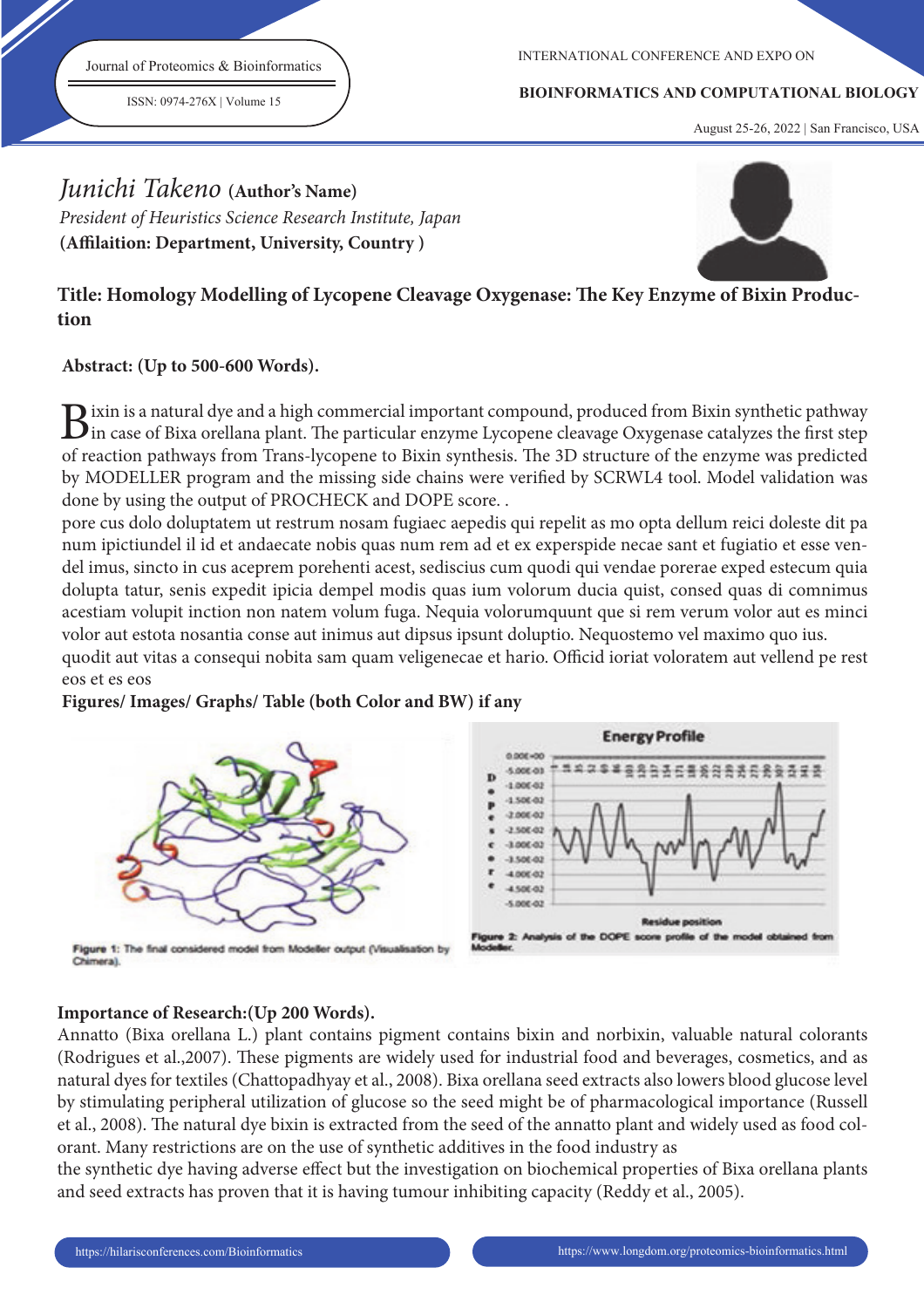Journal of Proteomics & Bioinformatics

ISSN: 0974-276X | Volume 15

INTERNATIONAL CONFERENCE AND EXPO ON

#### **BIOINFORMATICS AND COMPUTATIONAL BIOLOGY**

August 25-26, 2022 | San Francisco, USA

# Junichi Takeno **(Author's Name)**

President of Heuristics Science Research Institute, Japan (Affilaition: Department, University, Country)



## Title: Homology Modelling of Lycopene Cleavage Oxygenase: The Key Enzyme of Bixin Produc**tion**

## **Abstract: (Up to 500-600 Words).**

 $B$ ixin is a natural dye and a high commercial important compound, produced from Bixin synthetic pathway<br>in case of Bixa orellana plant. The particular enzyme Lycopene cleavage Oxygenase catalyzes the first step  $\bf D$  ixin is a natural dye and a high commercial important compound, produced from Bixin synthetic pathway of reaction pathways from Trans-lycopene to Bixin synthesis. The 3D structure of the enzyme was predicted by MODELLER program and the missing side chains were verified by SCRWL4 tool. Model validation was done by using the output of PROCHECK and DOPE score. .

pore cus dolo doluptatem ut restrum nosam fugiaec aepedis qui repelit as mo opta dellum reici doleste dit pa num ipictiundel il id et andaecate nobis quas num rem ad et ex experspide necae sant et fugiatio et esse vendel imus, sincto in cus aceprem porehenti acest, sediscius cum quodi qui vendae porerae exped estecum quia dolupta tatur, senis expedit ipicia dempel modis quas ium volorum ducia quist, consed quas di comnimus acestiam volupit inction non natem volum fuga. Nequia volorumquunt que si rem verum volor aut es minci volor aut estota nosantia conse aut inimus aut dipsus ipsunt doluptio. Nequostemo vel maximo quo ius. quodit aut vitas a consequi nobita sam quam veligenecae et hario. Officid ioriat voloratem aut vellend pe rest

## eos et es eos

#### **Figures/ Images/ Graphs/ Table (both Color and BW) if any**



Flaure 1: The final considered model from Modeller output (Visualisation by Chimeral



## **Importance of Research:(Up 200 Words).**

Annatto (Bixa orellana L.) plant contains pigment contains bixin and norbixin, valuable natural colorants (Rodrigues et al.,2007). These pigments are widely used for industrial food and beverages, cosmetics, and as natural dyes for textiles (Chattopadhyay et al., 2008). Bixa orellana seed extracts also lowers blood glucose level by stimulating peripheral utilization of glucose so the seed might be of pharmacological importance (Russell et al., 2008). The natural dye bixin is extracted from the seed of the annatto plant and widely used as food colorant. Many restrictions are on the use of synthetic additives in the food industry as

the synthetic dye having adverse effect but the investigation on biochemical properties of Bixa orellana plants and seed extracts has proven that it is having tumour inhibiting capacity (Reddy et al., 2005).